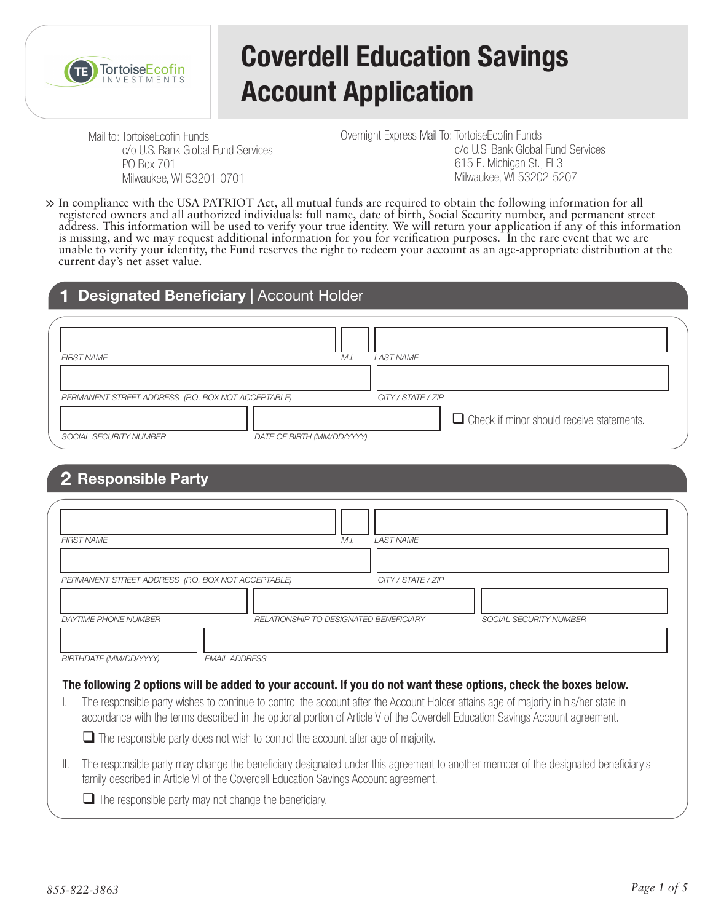

# **Coverdell Education Savings Account Application**

Mail to: TortoiseEcofin Funds c/o U.S. Bank Global Fund Services PO Box 701 Milwaukee, WI 53201-0701

Overnight Express Mail To: TortoiseEcofin Funds c/o U.S. Bank Global Fund Services 615 E. Michigan St., FL3 Milwaukee, WI 53202-5207

In compliance with the USA PATRIOT Act, all mutual funds are required to obtain the following information for all registered owners and all authorized individuals: full name, date of birth, Social Security number, and permanent street **>>** address. This information will be used to verify your true identity. We will return your application if any of this information is missing, and we may request additional information for you for verification purposes. In the rare event that we are unable to verify your identity, the Fund reserves the right to redeem your account as an age-appropriate distribution at the current day's net asset value.

### **Designated Beneficiary | Account Holder**

| <b>FIRST NAME</b>                                  | M.I                        | <b>LAST NAME</b>   |                                                  |  |
|----------------------------------------------------|----------------------------|--------------------|--------------------------------------------------|--|
|                                                    |                            |                    |                                                  |  |
| PERMANENT STREET ADDRESS (P.O. BOX NOT ACCEPTABLE) |                            | CITY / STATE / ZIP |                                                  |  |
|                                                    |                            |                    | $\Box$ Check if minor should receive statements. |  |
| SOCIAL SECURITY NUMBER                             | DATE OF BIRTH (MM/DD/YYYY) |                    |                                                  |  |

## **2 Responsible Party**

| <b>FIRST NAME</b>                                  | M.I.                                                                                     | <b>LAST NAME</b>   |                                                                                                                                                                                                                                                                        |
|----------------------------------------------------|------------------------------------------------------------------------------------------|--------------------|------------------------------------------------------------------------------------------------------------------------------------------------------------------------------------------------------------------------------------------------------------------------|
|                                                    |                                                                                          |                    |                                                                                                                                                                                                                                                                        |
| PERMANENT STREET ADDRESS (P.O. BOX NOT ACCEPTABLE) |                                                                                          | CITY / STATE / ZIP |                                                                                                                                                                                                                                                                        |
|                                                    |                                                                                          |                    |                                                                                                                                                                                                                                                                        |
| <b>DAYTIME PHONE NUMBER</b>                        | RELATIONSHIP TO DESIGNATED BENEFICIARY                                                   |                    | <b>SOCIAL SECURITY NUMBER</b>                                                                                                                                                                                                                                          |
|                                                    |                                                                                          |                    |                                                                                                                                                                                                                                                                        |
| BIRTHDATE (MM/DD/YYYY)                             | <b>EMAIL ADDRESS</b>                                                                     |                    |                                                                                                                                                                                                                                                                        |
|                                                    |                                                                                          |                    | The following 2 options will be added to your account. If you do not want these options, check the boxes below.                                                                                                                                                        |
|                                                    |                                                                                          |                    | The responsible party wishes to continue to control the account after the Account Holder attains age of majority in his/her state in<br>accordance with the terms described in the optional portion of Article V of the Coverdell Education Savings Account agreement. |
|                                                    | $\Box$ The responsible party does not wish to control the account after age of majority. |                    |                                                                                                                                                                                                                                                                        |

II. The responsible party may change the beneficiary designated under this agreement to another member of the designated beneficiary's family described in Article VI of the Coverdell Education Savings Account agreement.

 $\Box$  The responsible party may not change the beneficiary.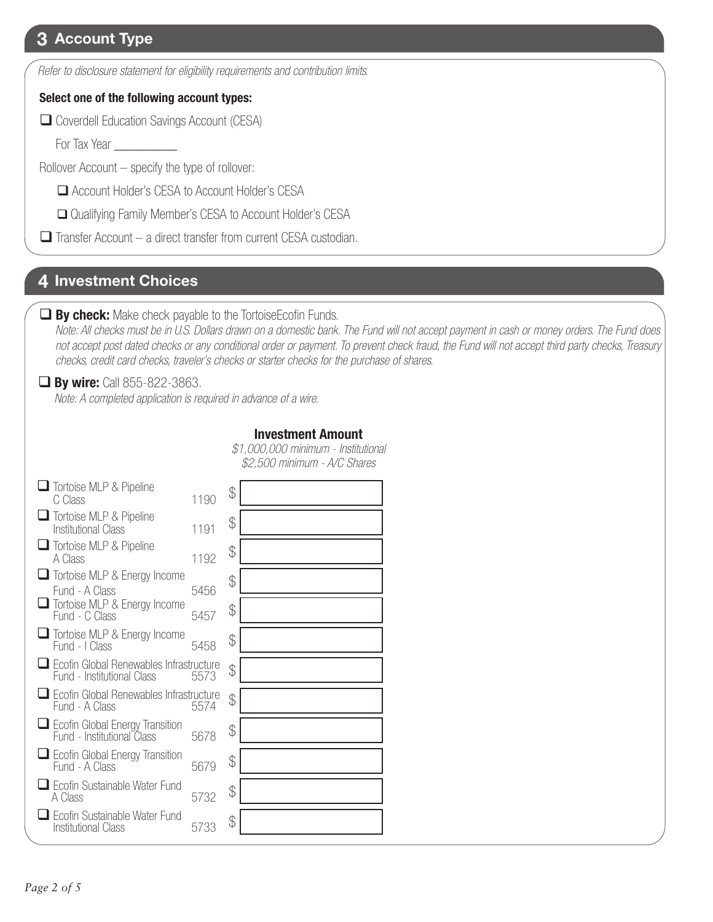## **3 Account Type**

*Refer to disclosure statement for eligibility requirements and contribution limits.*

#### **Select one of the following account types:**

Coverdell Education Savings Account (CESA)

For Tax Year \_\_\_\_\_\_\_\_\_

Rollover Account – specify the type of rollover:

**□** Account Holder's CESA to Account Holder's CESA

**□** Qualifying Family Member's CESA to Account Holder's CESA

 $\Box$  Transfer Account – a direct transfer from current CESA custodian.

## **4 Investment Choices**

#### **By check:** Make check payable to the TortoiseEcofin Funds.

 *Note: All checks must be in U.S. Dollars drawn on a domestic bank. The Fund will not accept payment in cash or money orders. The Fund does not accept post dated checks or any conditional order or payment. To prevent check fraud, the Fund will not accept third party checks, Treasury checks, credit card checks, traveler's checks or starter checks for the purchase of shares.*

## **By wire:** Call 855-822-3863.

*Note: A completed application is required in advance of a wire.*

#### **Investment Amount**

*\$1,000,000 minimum - Institutional \$2,500 minimum - A/C Shares*

| Tortoise MLP & Pipeline<br>C Class                                    | 1190 | \$            |  |
|-----------------------------------------------------------------------|------|---------------|--|
| <b>Tortoise MLP &amp; Pipeline</b><br>Institutional Class             | 1191 | \$            |  |
| <b>Tortoise MLP &amp; Pipeline</b><br>A Class                         | 1192 | \$            |  |
| $\Box$ Tortoise MLP & Energy Income<br>Fund - A Class                 | 5456 | \$            |  |
| Tortoise MLP & Energy Income<br>Fund - C Class                        | 5457 | $\frac{1}{2}$ |  |
| $\Box$ Tortoise MLP & Energy Income<br>Fund - I Class                 | 5458 | \$            |  |
| Ecofin Global Renewables Infrastructure<br>Fund - Institutional Class | 5573 | \$            |  |
| Ecofin Global Renewables Infrastructure<br>Fund - A Class             | 5574 | \$            |  |
| Ecofin Global Energy Transition<br>Fund - Institutional Class         | 5678 | \$            |  |
| $\Box$ Ecofin Global Energy Transition<br>Fund - A Class              | 5679 | \$            |  |
| Ecofin Sustainable Water Fund<br>A Class                              | 5732 | \$            |  |
| Ecofin Sustainable Water Fund<br><b>Institutional Class</b>           | 5733 | \$            |  |
|                                                                       |      |               |  |

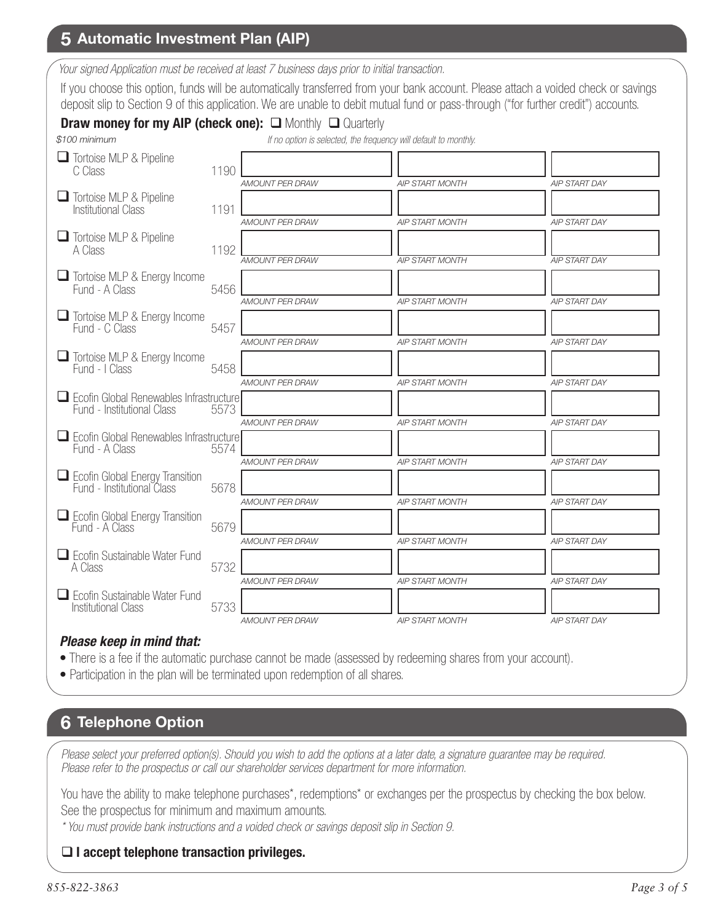## **5 Automatic Investment Plan (AIP)**

*Your signed Application must be received at least 7 business days prior to initial transaction.*

If you choose this option, funds will be automatically transferred from your bank account. Please attach a voided check or savings deposit slip to Section 9 of this application. We are unable to debit mutual fund or pass-through ("for further credit") accounts.

#### **Draw money for my AIP (check one):**  $\Box$  Monthly  $\Box$  Quarterly

| \$100 minimum                                                         |      |                        | If no option is selected, the frequency will default to monthly. |                      |
|-----------------------------------------------------------------------|------|------------------------|------------------------------------------------------------------|----------------------|
| Tortoise MLP & Pipeline<br>C Class                                    | 1190 | <b>AMOUNT PER DRAW</b> | <b>AIP START MONTH</b>                                           | <b>AIP START DAY</b> |
| Tortoise MLP & Pipeline<br><b>Institutional Class</b>                 | 1191 | AMOUNT PER DRAW        | <b>AIP START MONTH</b>                                           | <b>AIP START DAY</b> |
| Tortoise MLP & Pipeline<br>A Class                                    | 1192 | <b>AMOUNT PER DRAW</b> | <b>AIP START MONTH</b>                                           | <b>AIP START DAY</b> |
| Tortoise MLP & Energy Income<br>Fund - A Class                        | 5456 |                        |                                                                  |                      |
| $\Box$ Tortoise MLP & Energy Income<br>Fund - C Class                 | 5457 | AMOUNT PER DRAW        | <b>AIP START MONTH</b>                                           | <b>AIP START DAY</b> |
| Tortoise MLP & Energy Income<br>Fund - I Class                        | 5458 | AMOUNT PER DRAW        | <b>AIP START MONTH</b>                                           | <b>AIP START DAY</b> |
| Ecofin Global Renewables Infrastructure<br>Fund - Institutional Class | 5573 | AMOUNT PER DRAW        | <b>AIP START MONTH</b>                                           | <b>AIP START DAY</b> |
| $\Box$ Ecofin Global Renewables Infrastructure                        |      | <b>AMOUNT PER DRAW</b> | <b>AIP START MONTH</b>                                           | <b>AIP START DAY</b> |
| Fund - A Class                                                        | 5574 | <b>AMOUNT PER DRAW</b> | <b>AIP START MONTH</b>                                           | <b>AIP START DAY</b> |
| Ecofin Global Energy Transition<br>Fund - Institutional Class         | 5678 | <b>AMOUNT PER DRAW</b> | <b>AIP START MONTH</b>                                           | <b>AIP START DAY</b> |
| Ecofin Global Energy Transition<br>Fund - A Class                     | 5679 | <b>AMOUNT PER DRAW</b> | <b>AIP START MONTH</b>                                           | <b>AIP START DAY</b> |
| $\Box$ Ecofin Sustainable Water Fund<br>A Class                       | 5732 |                        |                                                                  |                      |
| $\Box$ Ecofin Sustainable Water Fund<br><b>Institutional Class</b>    | 5733 | AMOUNT PER DRAW        | <b>AIP START MONTH</b>                                           | <b>AIP START DAY</b> |
|                                                                       |      | AMOUNT PER DRAW        | <b>AIP START MONTH</b>                                           | <b>AIP START DAY</b> |

#### *Please keep in mind that:*

- There is a fee if the automatic purchase cannot be made (assessed by redeeming shares from your account).
- Participation in the plan will be terminated upon redemption of all shares.

## **6 Telephone Option**

*Please select your preferred option(s). Should you wish to add the options at a later date, a signature guarantee may be required. Please refer to the prospectus or call our shareholder services department for more information.*

You have the ability to make telephone purchases\*, redemptions\* or exchanges per the prospectus by checking the box below. See the prospectus for minimum and maximum amounts.

*\* You must provide bank instructions and a voided check or savings deposit slip in Section 9.* 

#### **I accept telephone transaction privileges.**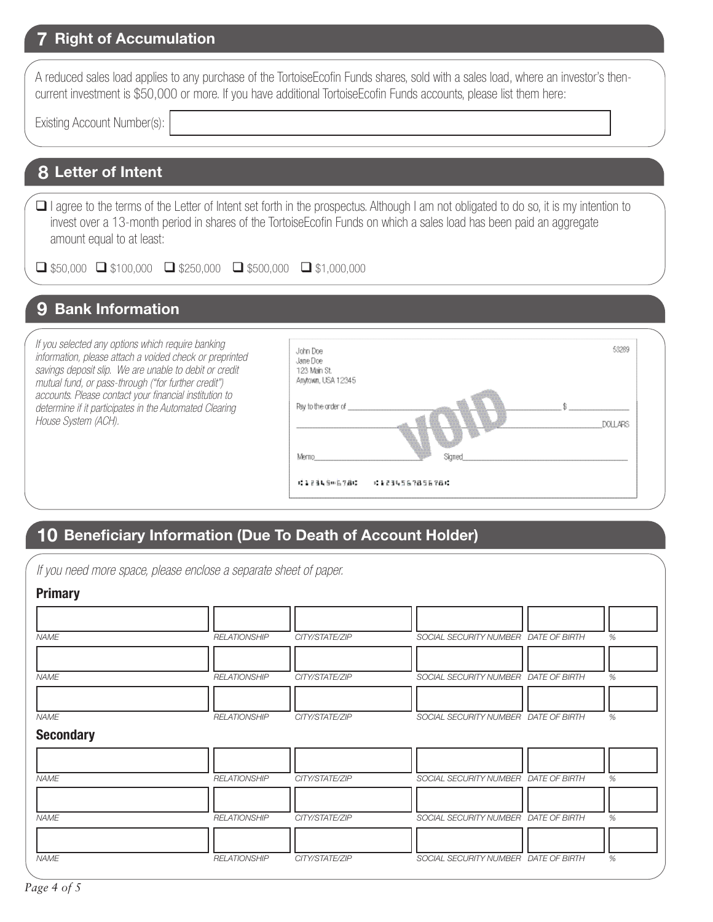## **Right of Accumulation 7**

| A reduced sales load applies to any purchase of the TortoiseEcofin Funds shares, sold with a sales load, where an investor's then- |  |
|------------------------------------------------------------------------------------------------------------------------------------|--|
| current investment is \$50,000 or more. If you have additional TortoiseEcofin Funds accounts, please list them here:               |  |

Existing Account Number(s):

## **8 Letter of Intent**

□ I agree to the terms of the Letter of Intent set forth in the prospectus. Although I am not obligated to do so, it is my intention to invest over a 13-month period in shares of the TortoiseEcofin Funds on which a sales load has been paid an aggregate amount equal to at least:

 $\Box$  \$50,000  $\Box$  \$100,000  $\Box$  \$250,000  $\Box$  \$500,000  $\Box$  \$1,000,000

## **9 Bank Information**

*If you selected any options which require banking information, please attach a voided check or preprinted savings deposit slip. We are unable to debit or credit mutual fund, or pass-through ("for further credit") accounts. Please contact your financial institution to determine if it participates in the Automated Clearing House System (ACH).*



## **10 Beneficiary Information (Due To Death of Account Holder)**

*If you need more space, please enclose a separate sheet of paper.*

| <b>Primary</b>                  |                     |                |                                      |      |
|---------------------------------|---------------------|----------------|--------------------------------------|------|
|                                 |                     |                |                                      |      |
| <b>NAME</b>                     | <b>RELATIONSHIP</b> | CITY/STATE/ZIP | SOCIAL SECURITY NUMBER DATE OF BIRTH | %    |
| <b>NAME</b>                     | <b>RELATIONSHIP</b> | CITY/STATE/ZIP | SOCIAL SECURITY NUMBER DATE OF BIRTH | %    |
| <b>NAME</b><br><b>Secondary</b> | <b>RELATIONSHIP</b> | CITY/STATE/ZIP | SOCIAL SECURITY NUMBER DATE OF BIRTH | %    |
|                                 |                     |                |                                      |      |
| <b>NAME</b>                     | <b>RELATIONSHIP</b> | CITY/STATE/ZIP | SOCIAL SECURITY NUMBER DATE OF BIRTH | %    |
| <b>NAME</b>                     | <b>RELATIONSHIP</b> | CITY/STATE/ZIP | SOCIAL SECURITY NUMBER DATE OF BIRTH | %    |
| <b>NAME</b>                     | <b>RELATIONSHIP</b> | CITY/STATE/ZIP | SOCIAL SECURITY NUMBER DATE OF BIRTH | $\%$ |